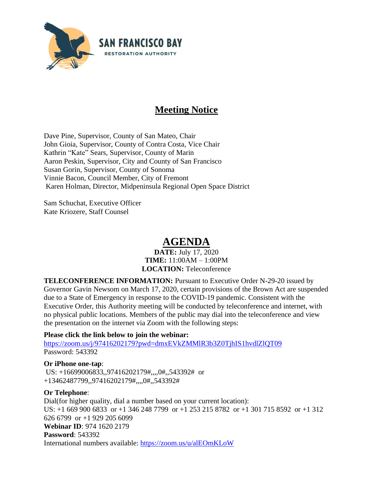

# **Meeting Notice**

Dave Pine, Supervisor, County of San Mateo, Chair John Gioia, Supervisor, County of Contra Costa, Vice Chair Kathrin "Kate" Sears, Supervisor, County of Marin Aaron Peskin, Supervisor, City and County of San Francisco Susan Gorin, Supervisor, County of Sonoma Vinnie Bacon, Council Member, City of Fremont Karen Holman, Director, Midpeninsula Regional Open Space District

Sam Schuchat, Executive Officer Kate Kriozere, Staff Counsel

# **AGENDA**

### **DATE:** July 17, 2020 **TIME:** 11:00AM – 1:00PM **LOCATION:** Teleconference

**TELECONFERENCE INFORMATION:** Pursuant to Executive Order N-29-20 issued by Governor Gavin Newsom on March 17, 2020, certain provisions of the Brown Act are suspended due to a State of Emergency in response to the COVID-19 pandemic. Consistent with the Executive Order, this Authority meeting will be conducted by teleconference and internet, with no physical public locations. Members of the public may dial into the teleconference and view the presentation on the internet via Zoom with the following steps:

# **Please click the link below to join the webinar:**

<https://zoom.us/j/97416202179?pwd=dmxEVkZMMlR3b3Z0TjhIS1hvdlZlQT09> Password: 543392

# **Or iPhone one-tap**:

US: +16699006833,,97416202179#,,,,0#,,543392# or +13462487799,,97416202179#,,,,0#,,543392#

### **Or Telephone**:

Dial(for higher quality, dial a number based on your current location): US: +1 669 900 6833 or +1 346 248 7799 or +1 253 215 8782 or +1 301 715 8592 or +1 312 626 6799 or +1 929 205 6099 **Webinar ID**: 974 1620 2179 **Password**: 543392 International numbers available:<https://zoom.us/u/alEOmKLoW>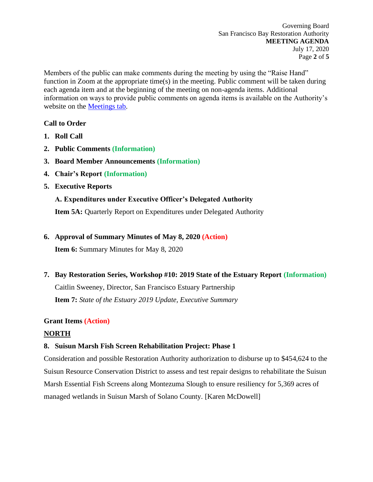Members of the public can make comments during the meeting by using the "Raise Hand" function in Zoom at the appropriate time(s) in the meeting. Public comment will be taken during each agenda item and at the beginning of the meeting on non-agenda items. Additional information on ways to provide public comments on agenda items is available on the Authority's website on the [Meetings tab.](http://sfbayrestore.org/meetings)

# **Call to Order**

- **1. Roll Call**
- **2. Public Comments (Information)**
- **3. Board Member Announcements (Information)**
- **4. Chair's Report (Information)**
- **5. Executive Reports**

# **A. Expenditures under Executive Officer's Delegated Authority**

**Item 5A:** Quarterly Report on Expenditures under Delegated Authority

# **6. Approval of Summary Minutes of May 8, 2020 (Action)**

**Item 6:** Summary Minutes for May 8, 2020

**7. Bay Restoration Series, Workshop #10: 2019 State of the Estuary Report (Information)**

Caitlin Sweeney, Director, San Francisco Estuary Partnership **Item 7:** *State of the Estuary 2019 Update, Executive Summary*

# **Grant Items (Action)**

# **NORTH**

# **8. Suisun Marsh Fish Screen Rehabilitation Project: Phase 1**

Consideration and possible Restoration Authority authorization to disburse up to \$454,624 to the Suisun Resource Conservation District to assess and test repair designs to rehabilitate the Suisun Marsh Essential Fish Screens along Montezuma Slough to ensure resiliency for 5,369 acres of managed wetlands in Suisun Marsh of Solano County. [Karen McDowell]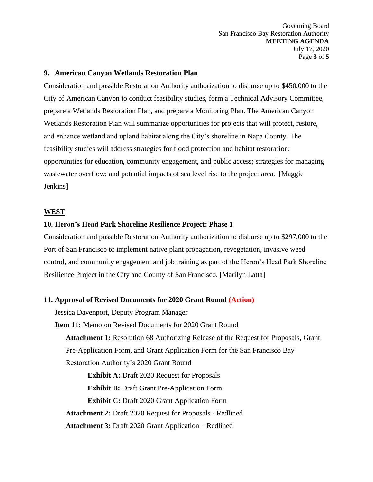Governing Board San Francisco Bay Restoration Authority **MEETING AGENDA** July 17, 2020 Page **3** of **5**

#### **9. American Canyon Wetlands Restoration Plan**

Consideration and possible Restoration Authority authorization to disburse up to \$450,000 to the City of American Canyon to conduct feasibility studies, form a Technical Advisory Committee, prepare a Wetlands Restoration Plan, and prepare a Monitoring Plan. The American Canyon Wetlands Restoration Plan will summarize opportunities for projects that will protect, restore, and enhance wetland and upland habitat along the City's shoreline in Napa County. The feasibility studies will address strategies for flood protection and habitat restoration; opportunities for education, community engagement, and public access; strategies for managing wastewater overflow; and potential impacts of sea level rise to the project area. [Maggie Jenkins]

#### **WEST**

### **10. Heron's Head Park Shoreline Resilience Project: Phase 1**

Consideration and possible Restoration Authority authorization to disburse up to \$297,000 to the Port of San Francisco to implement native plant propagation, revegetation, invasive weed control, and community engagement and job training as part of the Heron's Head Park Shoreline Resilience Project in the City and County of San Francisco. [Marilyn Latta]

#### **11. Approval of Revised Documents for 2020 Grant Round (Action)**

Jessica Davenport, Deputy Program Manager

**Item 11:** Memo on Revised Documents for 2020 Grant Round **Attachment 1:** Resolution 68 Authorizing Release of the Request for Proposals, Grant Pre-Application Form, and Grant Application Form for the San Francisco Bay Restoration Authority's 2020 Grant Round

**Exhibit A:** Draft 2020 Request for Proposals **Exhibit B: Draft Grant Pre-Application Form Exhibit C:** Draft 2020 Grant Application Form **Attachment 2:** Draft 2020 Request for Proposals - Redlined **Attachment 3:** Draft 2020 Grant Application – Redlined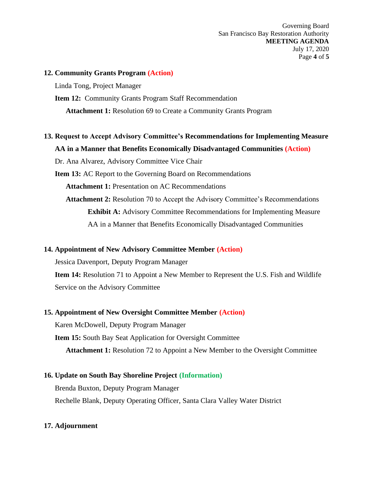Governing Board San Francisco Bay Restoration Authority **MEETING AGENDA** July 17, 2020 Page **4** of **5**

### **12. Community Grants Program (Action)**

Linda Tong, Project Manager

**Item 12:** Community Grants Program Staff Recommendation **Attachment 1:** Resolution 69 to Create a Community Grants Program

**13. Request to Accept Advisory Committee's Recommendations for Implementing Measure AA in a Manner that Benefits Economically Disadvantaged Communities (Action)** Dr. Ana Alvarez, Advisory Committee Vice Chair

**Item 13:** AC Report to the Governing Board on Recommendations **Attachment 1:** Presentation on AC Recommendations **Attachment 2:** Resolution 70 to Accept the Advisory Committee's Recommendations **Exhibit A:** Advisory Committee Recommendations for Implementing Measure AA in a Manner that Benefits Economically Disadvantaged Communities

# **14. Appointment of New Advisory Committee Member (Action)**

Jessica Davenport, Deputy Program Manager

**Item 14:** Resolution 71 to Appoint a New Member to Represent the U.S. Fish and Wildlife Service on the Advisory Committee

### **15. Appointment of New Oversight Committee Member (Action)**

Karen McDowell, Deputy Program Manager **Item 15:** South Bay Seat Application for Oversight Committee **Attachment 1:** Resolution 72 to Appoint a New Member to the Oversight Committee

**16. Update on South Bay Shoreline Project (Information)** Brenda Buxton, Deputy Program Manager Rechelle Blank, Deputy Operating Officer, Santa Clara Valley Water District

# **17. Adjournment**